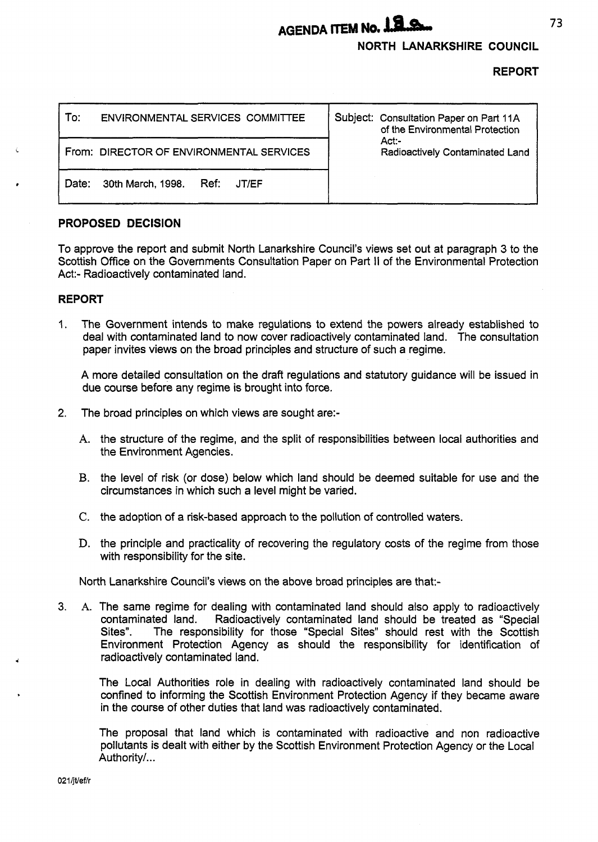# **AGENDA ITEM No. 1.2. Some 173**

# **NORTH LANARKSHIRE COUNCIL**

## **REPORT**

| To:                                      | ENVIRONMENTAL SERVICES COMMITTEE |               |  | Subject: Consultation Paper on Part 11A<br>of the Environmental Protection |  |
|------------------------------------------|----------------------------------|---------------|--|----------------------------------------------------------------------------|--|
| From: DIRECTOR OF ENVIRONMENTAL SERVICES |                                  |               |  | $Act$ :-<br>Radioactively Contaminated Land                                |  |
| Date:                                    | 30th March, 1998.                | Ref:<br>JT/EF |  |                                                                            |  |

# **PROPOSED DECISION**

To approve the report and submit North Lanarkshire Council's views set out at paragraph 3 to the Scottish Office on the Governments Consultation Paper on Part II of the Environmental Protection Act:- Radioactively contaminated land.

## **REPORT**

1. The Government intends to make regulations to extend the powers already established to deal with contaminated land to now cover radioactively contaminated land. The consultation paper invites views on the broad principles and structure of such a regime.

A more detailed consultation on the draft regulations and statutory guidance will be issued in due course before any regime is brought into force.

- **2.** The broad principles on which views are sought are:-
	- **A.** the structure of the regime, and the split of responsibilities between local authorities and the Environment Agencies.
	- B. the level of risk (or dose) below which land should be deemed suitable for use and the circumstances in which such a level might be varied.
	- C. the adoption of a risk-based approach to the pollution of controlled waters.
	- **D.** the principle and practicality of recovering the regulatory costs of the regime from those with responsibility for the site.

North Lanarkshire Council's views on the above broad principles are that:-

**3. A.** The same regime for dealing with contaminated land should also apply to radioactively contaminated land. Radioactively contaminated land should be treated as "Special Sites". The responsibility for those "Special Sites'' should rest with the Scottish Environment Protection Agency as should the responsibility for identification of radioactively contaminated land.

The Local Authorities role in dealing with radioactively contaminated land should be confined to informing the Scottish Environment Protection Agency if they became aware in the course of other duties that land was radioactively contaminated.

The proposal that land which is contaminated with radioactive and non radioactive pollutants is dealt with either by the Scottish Environment Protection Agency or the Local Authority/...